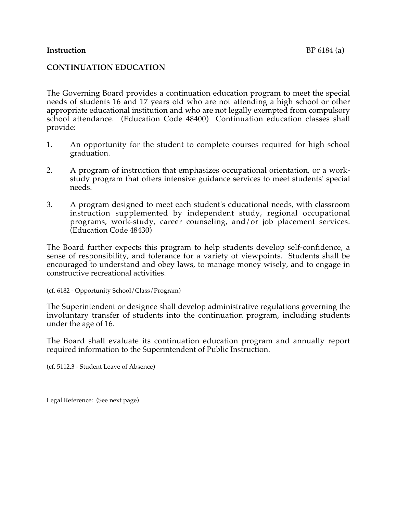#### **Instruction** BP 6184 (a)

## **CONTINUATION EDUCATION**

The Governing Board provides a continuation education program to meet the special needs of students 16 and 17 years old who are not attending a high school or other appropriate educational institution and who are not legally exempted from compulsory school attendance. (Education Code 48400) Continuation education classes shall provide:

- 1. An opportunity for the student to complete courses required for high school graduation.
- 2. A program of instruction that emphasizes occupational orientation, or a workstudy program that offers intensive guidance services to meet students' special needs.
- 3. A program designed to meet each student's educational needs, with classroom instruction supplemented by independent study, regional occupational programs, work-study, career counseling, and/or job placement services. (Education Code 48430)

The Board further expects this program to help students develop self-confidence, a sense of responsibility, and tolerance for a variety of viewpoints. Students shall be encouraged to understand and obey laws, to manage money wisely, and to engage in constructive recreational activities.

(cf. 6182 - Opportunity School/Class/Program)

The Superintendent or designee shall develop administrative regulations governing the involuntary transfer of students into the continuation program, including students under the age of 16.

The Board shall evaluate its continuation education program and annually report required information to the Superintendent of Public Instruction.

(cf. 5112.3 - Student Leave of Absence)

Legal Reference: (See next page)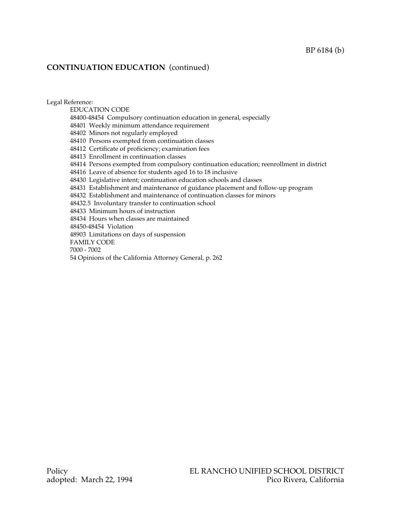## **CONTINUATION EDUCATION** (continued)

Legal Reference: EDUCATION CODE 48400-48454 Compulsory continuation education in general, especially 48401 Weekly minimum attendance requirement 48402 Minors not regularly employed 48410 Persons exempted from continuation classes 48412 Certificate of proficiency; examination fees 48413 Enrollment in continuation classes 48414 Persons exempted from compulsory continuation education; reenrollment in district 48416 Leave of absence for students aged 16 to 18 inclusive 48430 Legislative intent; continuation education schools and classes 48431 Establishment and maintenance of guidance placement and follow-up program 48432 Establishment and maintenance of continuation classes for minors 48432.5 Involuntary transfer to continuation school 48433 Minimum hours of instruction 48434 Hours when classes are maintained 48450-48454 Violation 48903 Limitations on days of suspension FAMILY CODE 7000 - 7002 54 Opinions of the California Attorney General, p. 262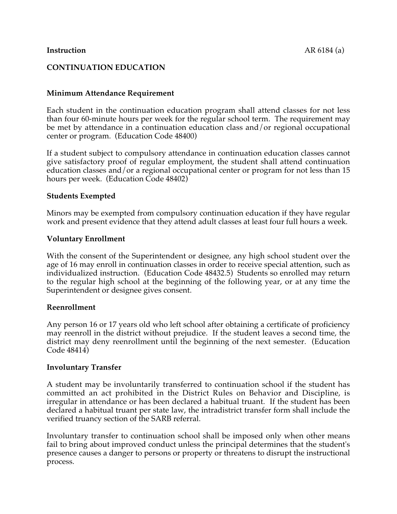# **CONTINUATION EDUCATION**

## **Minimum Attendance Requirement**

Each student in the continuation education program shall attend classes for not less than four 60-minute hours per week for the regular school term. The requirement may be met by attendance in a continuation education class and/or regional occupational center or program. (Education Code 48400)

If a student subject to compulsory attendance in continuation education classes cannot give satisfactory proof of regular employment, the student shall attend continuation education classes and/or a regional occupational center or program for not less than 15 hours per week. (Education Code 48402)

### **Students Exempted**

Minors may be exempted from compulsory continuation education if they have regular work and present evidence that they attend adult classes at least four full hours a week.

### **Voluntary Enrollment**

With the consent of the Superintendent or designee, any high school student over the age of 16 may enroll in continuation classes in order to receive special attention, such as individualized instruction. (Education Code 48432.5) Students so enrolled may return to the regular high school at the beginning of the following year, or at any time the Superintendent or designee gives consent.

### **Reenrollment**

Any person 16 or 17 years old who left school after obtaining a certificate of proficiency may reenroll in the district without prejudice. If the student leaves a second time, the district may deny reenrollment until the beginning of the next semester. (Education Code 48414)

### **Involuntary Transfer**

A student may be involuntarily transferred to continuation school if the student has committed an act prohibited in the District Rules on Behavior and Discipline, is irregular in attendance or has been declared a habitual truant. If the student has been declared a habitual truant per state law, the intradistrict transfer form shall include the verified truancy section of the SARB referral.

Involuntary transfer to continuation school shall be imposed only when other means fail to bring about improved conduct unless the principal determines that the student's presence causes a danger to persons or property or threatens to disrupt the instructional process.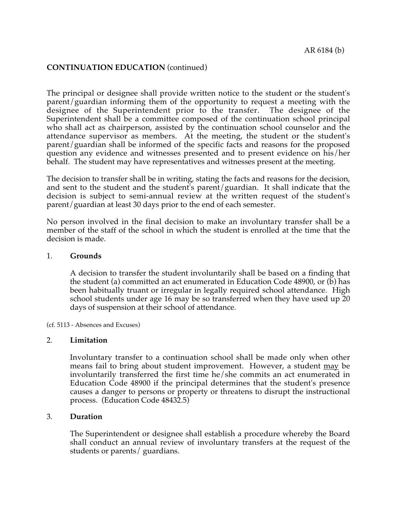## **CONTINUATION EDUCATION** (continued)

The principal or designee shall provide written notice to the student or the student's parent/guardian informing them of the opportunity to request a meeting with the designee of the Superintendent prior to the transfer. The designee of the Superintendent shall be a committee composed of the continuation school principal who shall act as chairperson, assisted by the continuation school counselor and the attendance supervisor as members. At the meeting, the student or the student's parent/guardian shall be informed of the specific facts and reasons for the proposed question any evidence and witnesses presented and to present evidence on his/her behalf. The student may have representatives and witnesses present at the meeting.

The decision to transfer shall be in writing, stating the facts and reasons for the decision, and sent to the student and the student's parent/guardian. It shall indicate that the decision is subject to semi-annual review at the written request of the student's parent/guardian at least 30 days prior to the end of each semester.

No person involved in the final decision to make an involuntary transfer shall be a member of the staff of the school in which the student is enrolled at the time that the decision is made.

#### 1. **Grounds**

A decision to transfer the student involuntarily shall be based on a finding that the student (a) committed an act enumerated in Education Code 48900, or (b) has been habitually truant or irregular in legally required school attendance. High school students under age 16 may be so transferred when they have used up 20 days of suspension at their school of attendance.

(cf. 5113 - Absences and Excuses)

#### 2. **Limitation**

Involuntary transfer to a continuation school shall be made only when other means fail to bring about student improvement. However, a student may be involuntarily transferred the first time he/she commits an act enumerated in Education Code 48900 if the principal determines that the student's presence causes a danger to persons or property or threatens to disrupt the instructional process. (Education Code 48432.5)

### 3. **Duration**

The Superintendent or designee shall establish a procedure whereby the Board shall conduct an annual review of involuntary transfers at the request of the students or parents/ guardians.